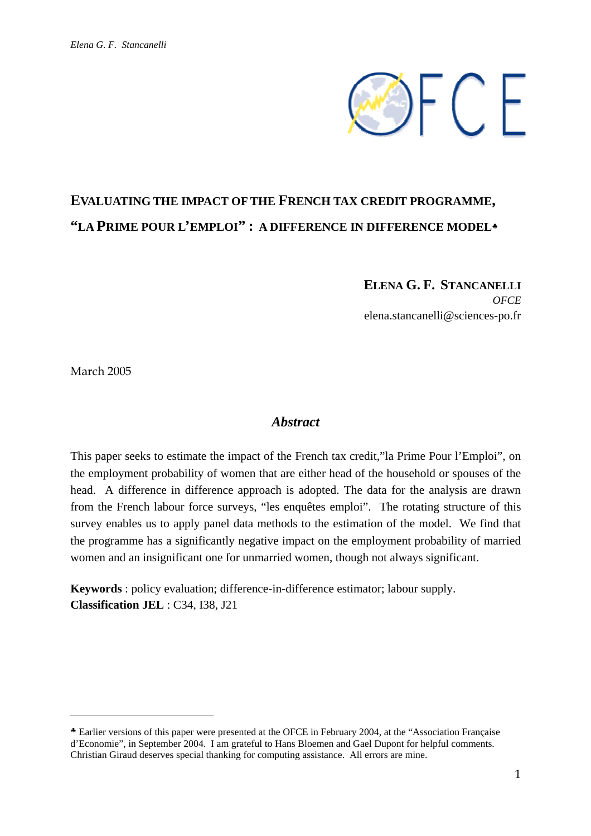

# **EVALUATING THE IMPACT OF THE FRENCH TAX CREDIT PROGRAMME, "LA PRIME POUR L'EMPLOI" : A DIFFERENCE IN DIFFERENCE MODEL**♣

**ELENA G. F. STANCANELLI**  *OFCE*  elena.stancanelli@sciences-po.fr

March 2005

 $\overline{a}$ 

## *Abstract*

This paper seeks to estimate the impact of the French tax credit,"la Prime Pour l'Emploi", on the employment probability of women that are either head of the household or spouses of the head. A difference in difference approach is adopted. The data for the analysis are drawn from the French labour force surveys, "les enquêtes emploi". The rotating structure of this survey enables us to apply panel data methods to the estimation of the model. We find that the programme has a significantly negative impact on the employment probability of married women and an insignificant one for unmarried women, though not always significant.

**Keywords** : policy evaluation; difference-in-difference estimator; labour supply. **Classification JEL** : C34, I38, J21

<sup>♣</sup> Earlier versions of this paper were presented at the OFCE in February 2004, at the "Association Française d'Economie", in September 2004. I am grateful to Hans Bloemen and Gael Dupont for helpful comments. Christian Giraud deserves special thanking for computing assistance. All errors are mine.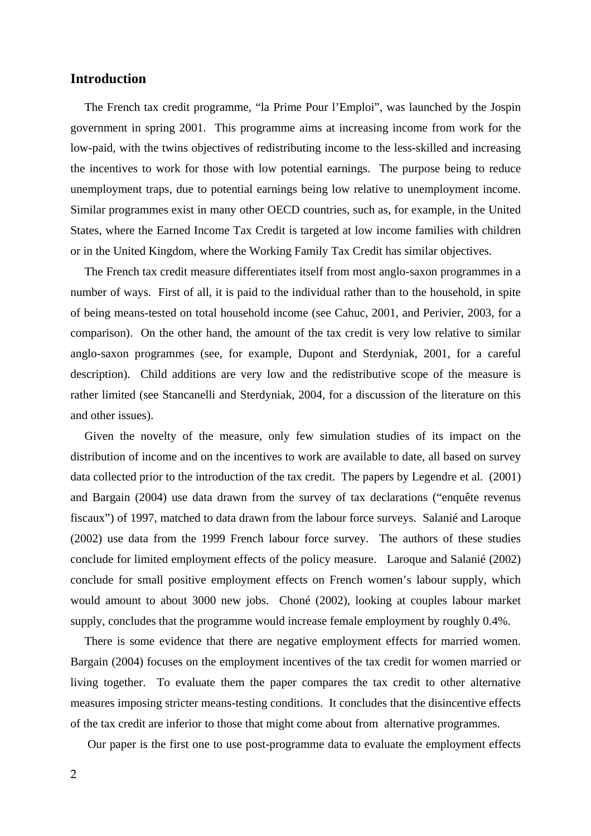#### **Introduction**

The French tax credit programme, "la Prime Pour l'Emploi", was launched by the Jospin government in spring 2001. This programme aims at increasing income from work for the low-paid, with the twins objectives of redistributing income to the less-skilled and increasing the incentives to work for those with low potential earnings. The purpose being to reduce unemployment traps, due to potential earnings being low relative to unemployment income. Similar programmes exist in many other OECD countries, such as, for example, in the United States, where the Earned Income Tax Credit is targeted at low income families with children or in the United Kingdom, where the Working Family Tax Credit has similar objectives.

The French tax credit measure differentiates itself from most anglo-saxon programmes in a number of ways. First of all, it is paid to the individual rather than to the household, in spite of being means-tested on total household income (see Cahuc, 2001, and Perivier, 2003, for a comparison). On the other hand, the amount of the tax credit is very low relative to similar anglo-saxon programmes (see, for example, Dupont and Sterdyniak, 2001, for a careful description). Child additions are very low and the redistributive scope of the measure is rather limited (see Stancanelli and Sterdyniak, 2004, for a discussion of the literature on this and other issues).

Given the novelty of the measure, only few simulation studies of its impact on the distribution of income and on the incentives to work are available to date, all based on survey data collected prior to the introduction of the tax credit. The papers by Legendre et al. (2001) and Bargain (2004) use data drawn from the survey of tax declarations ("enquête revenus fiscaux") of 1997, matched to data drawn from the labour force surveys. Salanié and Laroque (2002) use data from the 1999 French labour force survey. The authors of these studies conclude for limited employment effects of the policy measure. Laroque and Salanié (2002) conclude for small positive employment effects on French women's labour supply, which would amount to about 3000 new jobs. Choné (2002), looking at couples labour market supply, concludes that the programme would increase female employment by roughly 0.4%.

There is some evidence that there are negative employment effects for married women. Bargain (2004) focuses on the employment incentives of the tax credit for women married or living together. To evaluate them the paper compares the tax credit to other alternative measures imposing stricter means-testing conditions. It concludes that the disincentive effects of the tax credit are inferior to those that might come about from alternative programmes.

Our paper is the first one to use post-programme data to evaluate the employment effects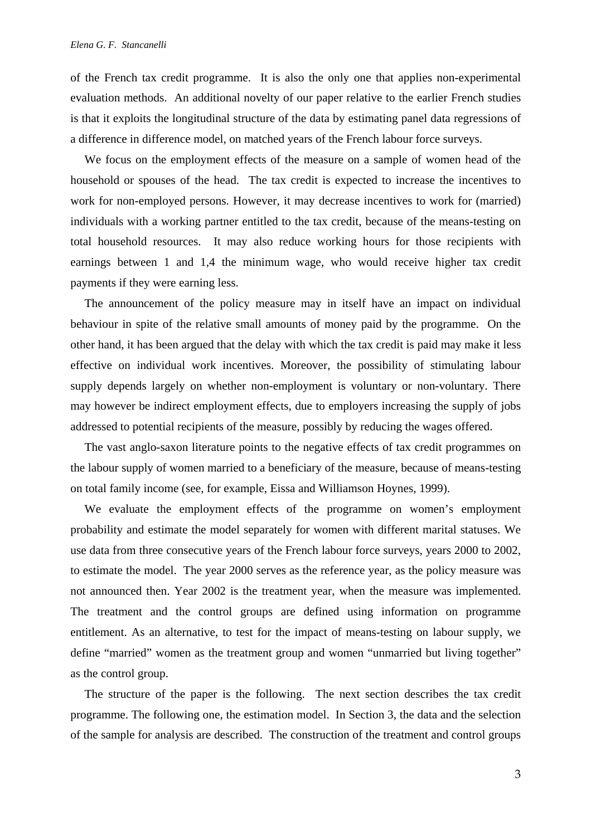of the French tax credit programme. It is also the only one that applies non-experimental evaluation methods. An additional novelty of our paper relative to the earlier French studies is that it exploits the longitudinal structure of the data by estimating panel data regressions of a difference in difference model, on matched years of the French labour force surveys.

We focus on the employment effects of the measure on a sample of women head of the household or spouses of the head. The tax credit is expected to increase the incentives to work for non-employed persons. However, it may decrease incentives to work for (married) individuals with a working partner entitled to the tax credit, because of the means-testing on total household resources. It may also reduce working hours for those recipients with earnings between 1 and 1,4 the minimum wage, who would receive higher tax credit payments if they were earning less.

The announcement of the policy measure may in itself have an impact on individual behaviour in spite of the relative small amounts of money paid by the programme. On the other hand, it has been argued that the delay with which the tax credit is paid may make it less effective on individual work incentives. Moreover, the possibility of stimulating labour supply depends largely on whether non-employment is voluntary or non-voluntary. There may however be indirect employment effects, due to employers increasing the supply of jobs addressed to potential recipients of the measure, possibly by reducing the wages offered.

The vast anglo-saxon literature points to the negative effects of tax credit programmes on the labour supply of women married to a beneficiary of the measure, because of means-testing on total family income (see, for example, Eissa and Williamson Hoynes, 1999).

We evaluate the employment effects of the programme on women's employment probability and estimate the model separately for women with different marital statuses. We use data from three consecutive years of the French labour force surveys, years 2000 to 2002, to estimate the model. The year 2000 serves as the reference year, as the policy measure was not announced then. Year 2002 is the treatment year, when the measure was implemented. The treatment and the control groups are defined using information on programme entitlement. As an alternative, to test for the impact of means-testing on labour supply, we define "married" women as the treatment group and women "unmarried but living together" as the control group.

The structure of the paper is the following. The next section describes the tax credit programme. The following one, the estimation model. In Section 3, the data and the selection of the sample for analysis are described. The construction of the treatment and control groups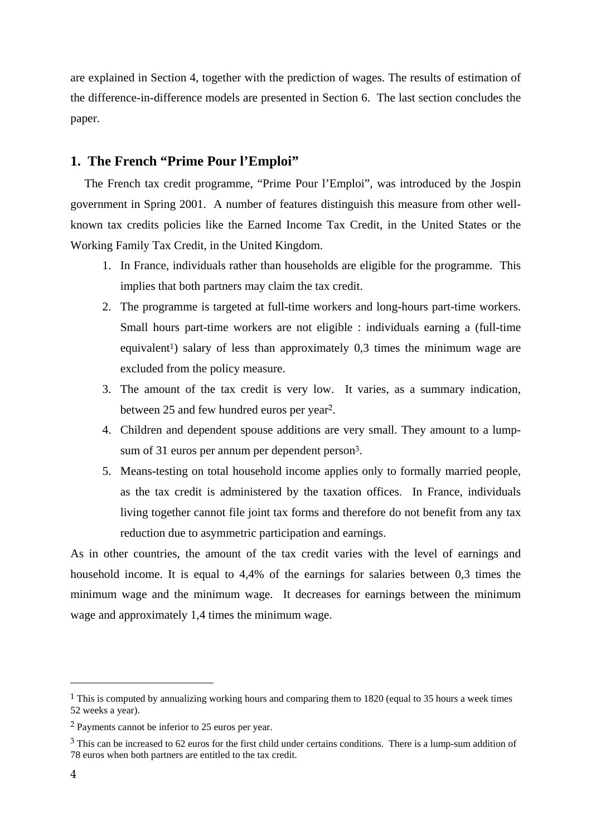are explained in Section 4, together with the prediction of wages. The results of estimation of the difference-in-difference models are presented in Section 6. The last section concludes the paper.

### **1. The French "Prime Pour l'Emploi"**

The French tax credit programme, "Prime Pour l'Emploi", was introduced by the Jospin government in Spring 2001. A number of features distinguish this measure from other wellknown tax credits policies like the Earned Income Tax Credit, in the United States or the Working Family Tax Credit, in the United Kingdom.

- 1. In France, individuals rather than households are eligible for the programme. This implies that both partners may claim the tax credit.
- 2. The programme is targeted at full-time workers and long-hours part-time workers. Small hours part-time workers are not eligible : individuals earning a (full-time equivalent<sup>1</sup>) salary of less than approximately 0,3 times the minimum wage are excluded from the policy measure.
- 3. The amount of the tax credit is very low. It varies, as a summary indication, between 25 and few hundred euros per year2.
- 4. Children and dependent spouse additions are very small. They amount to a lumpsum of 31 euros per annum per dependent person3.
- 5. Means-testing on total household income applies only to formally married people, as the tax credit is administered by the taxation offices. In France, individuals living together cannot file joint tax forms and therefore do not benefit from any tax reduction due to asymmetric participation and earnings.

As in other countries, the amount of the tax credit varies with the level of earnings and household income. It is equal to 4,4% of the earnings for salaries between 0,3 times the minimum wage and the minimum wage. It decreases for earnings between the minimum wage and approximately 1,4 times the minimum wage.

 $\overline{a}$ 

<sup>&</sup>lt;sup>1</sup> This is computed by annualizing working hours and comparing them to 1820 (equal to 35 hours a week times 52 weeks a year).

<sup>2</sup> Payments cannot be inferior to 25 euros per year.

<sup>&</sup>lt;sup>3</sup> This can be increased to 62 euros for the first child under certains conditions. There is a lump-sum addition of 78 euros when both partners are entitled to the tax credit.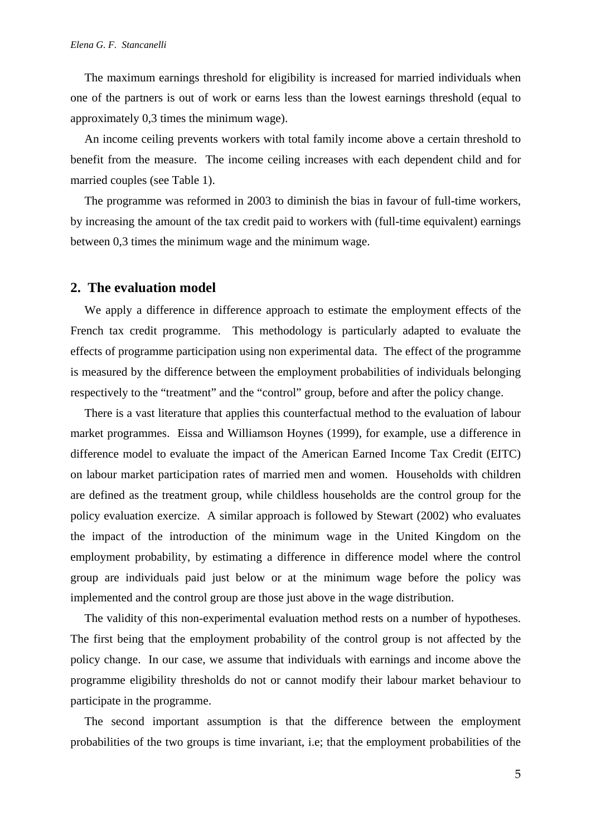The maximum earnings threshold for eligibility is increased for married individuals when one of the partners is out of work or earns less than the lowest earnings threshold (equal to approximately 0,3 times the minimum wage).

An income ceiling prevents workers with total family income above a certain threshold to benefit from the measure. The income ceiling increases with each dependent child and for married couples (see Table 1).

The programme was reformed in 2003 to diminish the bias in favour of full-time workers, by increasing the amount of the tax credit paid to workers with (full-time equivalent) earnings between 0,3 times the minimum wage and the minimum wage.

#### **2. The evaluation model**

We apply a difference in difference approach to estimate the employment effects of the French tax credit programme. This methodology is particularly adapted to evaluate the effects of programme participation using non experimental data. The effect of the programme is measured by the difference between the employment probabilities of individuals belonging respectively to the "treatment" and the "control" group, before and after the policy change.

There is a vast literature that applies this counterfactual method to the evaluation of labour market programmes. Eissa and Williamson Hoynes (1999), for example, use a difference in difference model to evaluate the impact of the American Earned Income Tax Credit (EITC) on labour market participation rates of married men and women. Households with children are defined as the treatment group, while childless households are the control group for the policy evaluation exercize. A similar approach is followed by Stewart (2002) who evaluates the impact of the introduction of the minimum wage in the United Kingdom on the employment probability, by estimating a difference in difference model where the control group are individuals paid just below or at the minimum wage before the policy was implemented and the control group are those just above in the wage distribution.

The validity of this non-experimental evaluation method rests on a number of hypotheses. The first being that the employment probability of the control group is not affected by the policy change. In our case, we assume that individuals with earnings and income above the programme eligibility thresholds do not or cannot modify their labour market behaviour to participate in the programme.

The second important assumption is that the difference between the employment probabilities of the two groups is time invariant, i.e; that the employment probabilities of the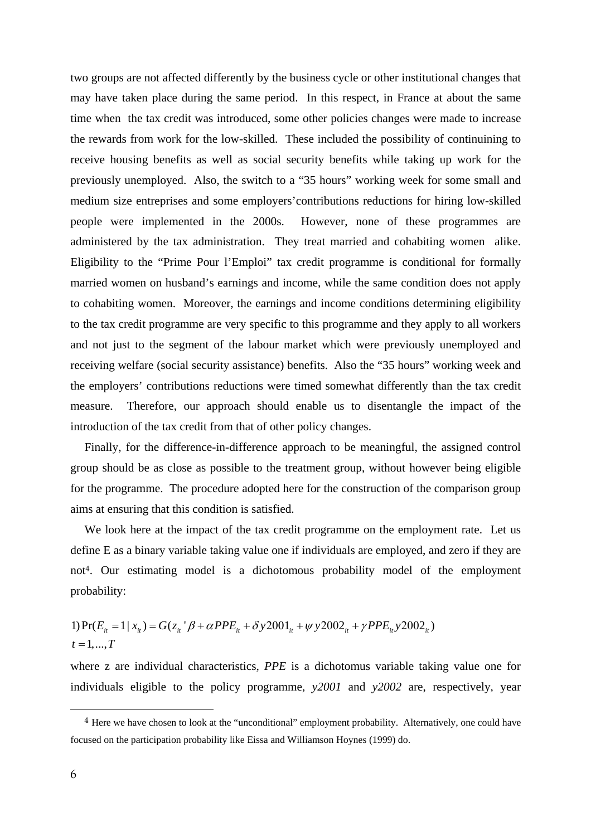two groups are not affected differently by the business cycle or other institutional changes that may have taken place during the same period. In this respect, in France at about the same time when the tax credit was introduced, some other policies changes were made to increase the rewards from work for the low-skilled. These included the possibility of continuining to receive housing benefits as well as social security benefits while taking up work for the previously unemployed. Also, the switch to a "35 hours" working week for some small and medium size entreprises and some employers'contributions reductions for hiring low-skilled people were implemented in the 2000s. However, none of these programmes are administered by the tax administration. They treat married and cohabiting women alike. Eligibility to the "Prime Pour l'Emploi" tax credit programme is conditional for formally married women on husband's earnings and income, while the same condition does not apply to cohabiting women. Moreover, the earnings and income conditions determining eligibility to the tax credit programme are very specific to this programme and they apply to all workers and not just to the segment of the labour market which were previously unemployed and receiving welfare (social security assistance) benefits. Also the "35 hours" working week and the employers' contributions reductions were timed somewhat differently than the tax credit measure. Therefore, our approach should enable us to disentangle the impact of the introduction of the tax credit from that of other policy changes.

Finally, for the difference-in-difference approach to be meaningful, the assigned control group should be as close as possible to the treatment group, without however being eligible for the programme. The procedure adopted here for the construction of the comparison group aims at ensuring that this condition is satisfied.

We look here at the impact of the tax credit programme on the employment rate. Let us define E as a binary variable taking value one if individuals are employed, and zero if they are not4. Our estimating model is a dichotomous probability model of the employment probability:

1) 
$$
Pr(E_{it} = 1 | x_{it}) = G(z_{it} | \beta + \alpha PPE_{it} + \delta y 2001_{it} + \psi y 2002_{it} + \gamma PPE_{it} y 2002_{it})
$$
  
\n $t = 1,...,T$ 

where z are individual characteristics, *PPE* is a dichotomus variable taking value one for individuals eligible to the policy programme, *y2001* and *y2002* are, respectively, year

 $\overline{a}$ 

<sup>&</sup>lt;sup>4</sup> Here we have chosen to look at the "unconditional" employment probability. Alternatively, one could have focused on the participation probability like Eissa and Williamson Hoynes (1999) do.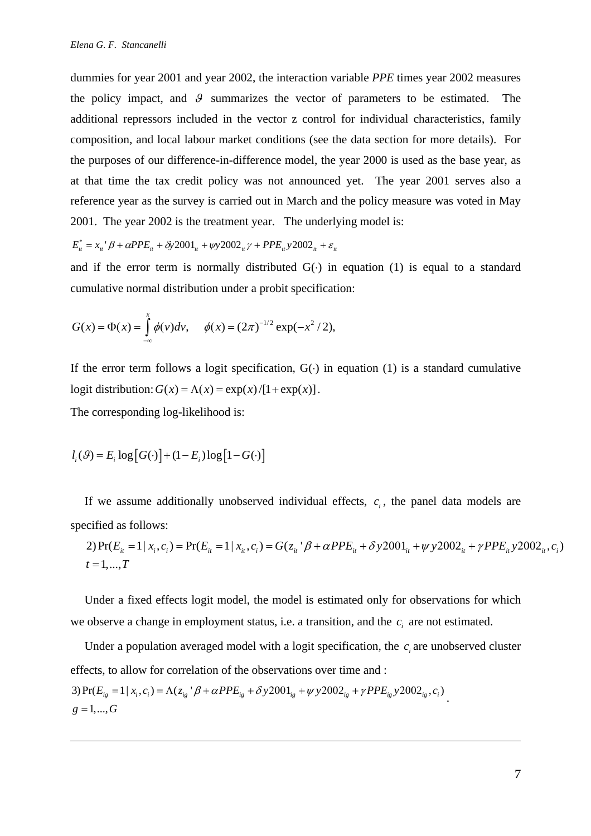dummies for year 2001 and year 2002, the interaction variable *PPE* times year 2002 measures the policy impact, and  $\theta$  summarizes the vector of parameters to be estimated. The additional repressors included in the vector z control for individual characteristics, family composition, and local labour market conditions (see the data section for more details). For the purposes of our difference-in-difference model, the year 2000 is used as the base year, as at that time the tax credit policy was not announced yet. The year 2001 serves also a reference year as the survey is carried out in March and the policy measure was voted in May 2001. The year 2002 is the treatment year. The underlying model is:

$$
E_{it}^* = x_{it}{}^{'}\beta + \alpha PPE_{it} + \delta y 2001_{it} + \psi y 2002_{it} \gamma + PPE_{it} y 2002_{it} + \varepsilon_{it}
$$

and if the error term is normally distributed  $G(·)$  in equation (1) is equal to a standard cumulative normal distribution under a probit specification:

$$
G(x) = \Phi(x) = \int_{-\infty}^{x} \phi(v) dv, \quad \phi(x) = (2\pi)^{-1/2} \exp(-x^2/2),
$$

If the error term follows a logit specification,  $G(·)$  in equation (1) is a standard cumulative logit distribution:  $G(x) = \Lambda(x) = \exp(x) / [1 + \exp(x)].$ 

The corresponding log-likelihood is:

 $\overline{a}$ 

$$
l_i(\mathcal{G}) = E_i \log \big[ G(\cdot) \big] + (1 - E_i) \log \big[ 1 - G(\cdot) \big]
$$

If we assume additionally unobserved individual effects,  $c_i$ , the panel data models are specified as follows:

2) 
$$
Pr(E_{ii} = 1 | x_i, c_i) = Pr(E_{ii} = 1 | x_i, c_i) = G(z_{ii} | \beta + \alpha PPE_{ii} + \delta y 2001_{ii} + \psi y 2002_{ii} + \gamma PPE_{ii} y 2002_{ii}, c_i)
$$
  
\n $t = 1,...,T$ 

Under a fixed effects logit model, the model is estimated only for observations for which we observe a change in employment status, i.e. a transition, and the  $c_i$  are not estimated.

Under a population averaged model with a logit specification, the  $c_i$  are unobserved cluster effects, to allow for correlation of the observations over time and : 3)  $Pr(E_{ig} = 1 | x_i, c_i) = \Lambda(z_{ig} | \beta + \alpha PPE_{ig} + \delta y 2001_{ig} + \psi y 2002_{ig} + \gamma PPE_{ig} y 2002_{ig}, c_i)$ <br>g = 1,..., G  $g = 1, ..., G$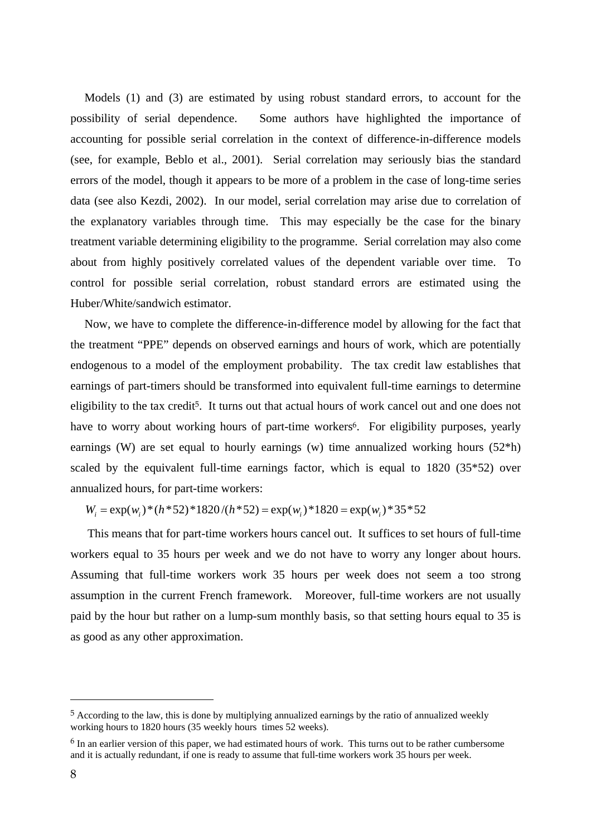Models (1) and (3) are estimated by using robust standard errors, to account for the possibility of serial dependence. Some authors have highlighted the importance of accounting for possible serial correlation in the context of difference-in-difference models (see, for example, Beblo et al., 2001). Serial correlation may seriously bias the standard errors of the model, though it appears to be more of a problem in the case of long-time series data (see also Kezdi, 2002). In our model, serial correlation may arise due to correlation of the explanatory variables through time. This may especially be the case for the binary treatment variable determining eligibility to the programme. Serial correlation may also come about from highly positively correlated values of the dependent variable over time. To control for possible serial correlation, robust standard errors are estimated using the Huber/White/sandwich estimator.

Now, we have to complete the difference-in-difference model by allowing for the fact that the treatment "PPE" depends on observed earnings and hours of work, which are potentially endogenous to a model of the employment probability. The tax credit law establishes that earnings of part-timers should be transformed into equivalent full-time earnings to determine eligibility to the tax credit<sup>5</sup>. It turns out that actual hours of work cancel out and one does not have to worry about working hours of part-time workers<sup>6</sup>. For eligibility purposes, yearly earnings (W) are set equal to hourly earnings (w) time annualized working hours (52\*h) scaled by the equivalent full-time earnings factor, which is equal to 1820 (35\*52) over annualized hours, for part-time workers:

 $W_i = \exp(w_i) * (h * 52) *1820 / (h * 52) = \exp(w_i) *1820 = \exp(w_i) *35 *52$ 

 This means that for part-time workers hours cancel out. It suffices to set hours of full-time workers equal to 35 hours per week and we do not have to worry any longer about hours. Assuming that full-time workers work 35 hours per week does not seem a too strong assumption in the current French framework. Moreover, full-time workers are not usually paid by the hour but rather on a lump-sum monthly basis, so that setting hours equal to 35 is as good as any other approximation.

 $\overline{\phantom{a}}$ 

 $5$  According to the law, this is done by multiplying annualized earnings by the ratio of annualized weekly working hours to 1820 hours (35 weekly hours times 52 weeks).

<sup>&</sup>lt;sup>6</sup> In an earlier version of this paper, we had estimated hours of work. This turns out to be rather cumbersome and it is actually redundant, if one is ready to assume that full-time workers work 35 hours per week.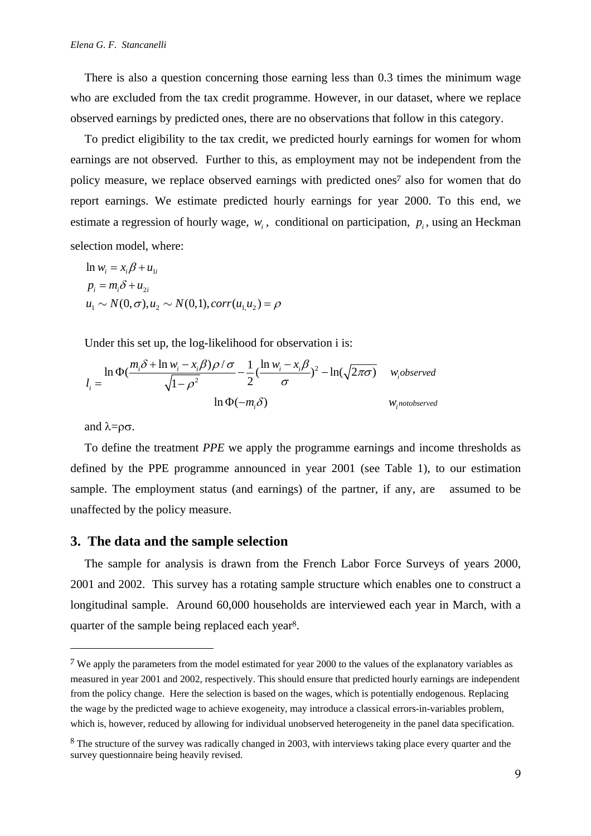There is also a question concerning those earning less than 0.3 times the minimum wage who are excluded from the tax credit programme. However, in our dataset, where we replace observed earnings by predicted ones, there are no observations that follow in this category.

To predict eligibility to the tax credit, we predicted hourly earnings for women for whom earnings are not observed. Further to this, as employment may not be independent from the policy measure, we replace observed earnings with predicted ones7 also for women that do report earnings. We estimate predicted hourly earnings for year 2000. To this end, we estimate a regression of hourly wage,  $w_i$ , conditional on participation,  $p_i$ , using an Heckman selection model, where:

$$
\ln w_i = x_i \beta + u_{1i}
$$
  
\n
$$
p_i = m_i \delta + u_{2i}
$$
  
\n
$$
u_1 \sim N(0, \sigma), u_2 \sim N(0, 1), corr(u_1, u_2) = \rho
$$

Under this set up, the log-likelihood for observation i is:

$$
l_i = \frac{\ln \Phi(\frac{m_i \delta + \ln w_i - x_i \beta)\rho/\sigma}{\sqrt{1 - \rho^2}} - \frac{1}{2} (\frac{\ln w_i - x_i \beta}{\sigma})^2 - \ln(\sqrt{2\pi\sigma}) \quad w_i \text{observed}}{\ln \Phi(-m_i \delta)}
$$

and  $\lambda = \rho \sigma$ .

 $\overline{\phantom{a}}$ 

To define the treatment *PPE* we apply the programme earnings and income thresholds as defined by the PPE programme announced in year 2001 (see Table 1), to our estimation sample. The employment status (and earnings) of the partner, if any, are assumed to be unaffected by the policy measure.

#### **3. The data and the sample selection**

The sample for analysis is drawn from the French Labor Force Surveys of years 2000, 2001 and 2002. This survey has a rotating sample structure which enables one to construct a longitudinal sample. Around 60,000 households are interviewed each year in March, with a quarter of the sample being replaced each year8.

<sup>&</sup>lt;sup>7</sup> We apply the parameters from the model estimated for year 2000 to the values of the explanatory variables as measured in year 2001 and 2002, respectively. This should ensure that predicted hourly earnings are independent from the policy change. Here the selection is based on the wages, which is potentially endogenous. Replacing the wage by the predicted wage to achieve exogeneity, may introduce a classical errors-in-variables problem, which is, however, reduced by allowing for individual unobserved heterogeneity in the panel data specification.

<sup>&</sup>lt;sup>8</sup> The structure of the survey was radically changed in 2003, with interviews taking place every quarter and the survey questionnaire being heavily revised.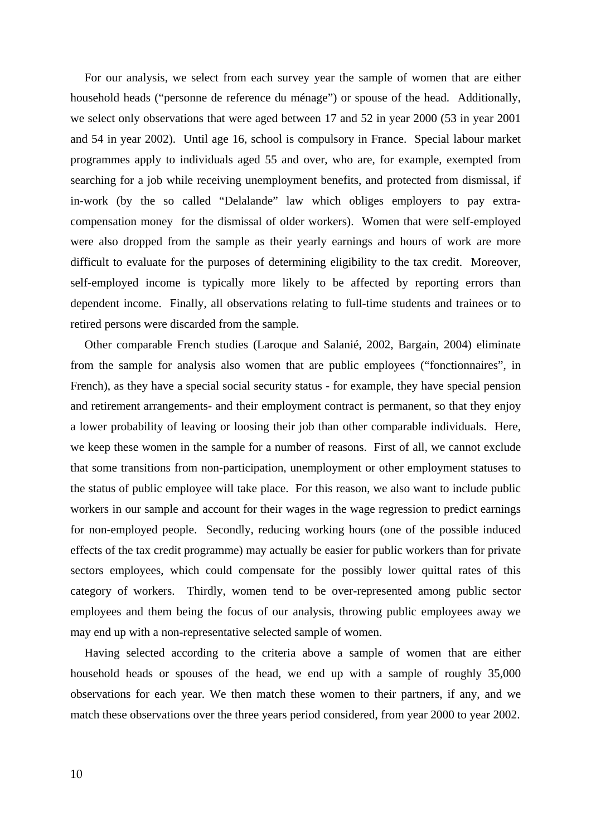For our analysis, we select from each survey year the sample of women that are either household heads ("personne de reference du ménage") or spouse of the head. Additionally, we select only observations that were aged between 17 and 52 in year 2000 (53 in year 2001 and 54 in year 2002). Until age 16, school is compulsory in France. Special labour market programmes apply to individuals aged 55 and over, who are, for example, exempted from searching for a job while receiving unemployment benefits, and protected from dismissal, if in-work (by the so called "Delalande" law which obliges employers to pay extracompensation money for the dismissal of older workers). Women that were self-employed were also dropped from the sample as their yearly earnings and hours of work are more difficult to evaluate for the purposes of determining eligibility to the tax credit. Moreover, self-employed income is typically more likely to be affected by reporting errors than dependent income. Finally, all observations relating to full-time students and trainees or to retired persons were discarded from the sample.

Other comparable French studies (Laroque and Salanié, 2002, Bargain, 2004) eliminate from the sample for analysis also women that are public employees ("fonctionnaires", in French), as they have a special social security status - for example, they have special pension and retirement arrangements- and their employment contract is permanent, so that they enjoy a lower probability of leaving or loosing their job than other comparable individuals. Here, we keep these women in the sample for a number of reasons. First of all, we cannot exclude that some transitions from non-participation, unemployment or other employment statuses to the status of public employee will take place. For this reason, we also want to include public workers in our sample and account for their wages in the wage regression to predict earnings for non-employed people. Secondly, reducing working hours (one of the possible induced effects of the tax credit programme) may actually be easier for public workers than for private sectors employees, which could compensate for the possibly lower quittal rates of this category of workers. Thirdly, women tend to be over-represented among public sector employees and them being the focus of our analysis, throwing public employees away we may end up with a non-representative selected sample of women.

Having selected according to the criteria above a sample of women that are either household heads or spouses of the head, we end up with a sample of roughly 35,000 observations for each year. We then match these women to their partners, if any, and we match these observations over the three years period considered, from year 2000 to year 2002.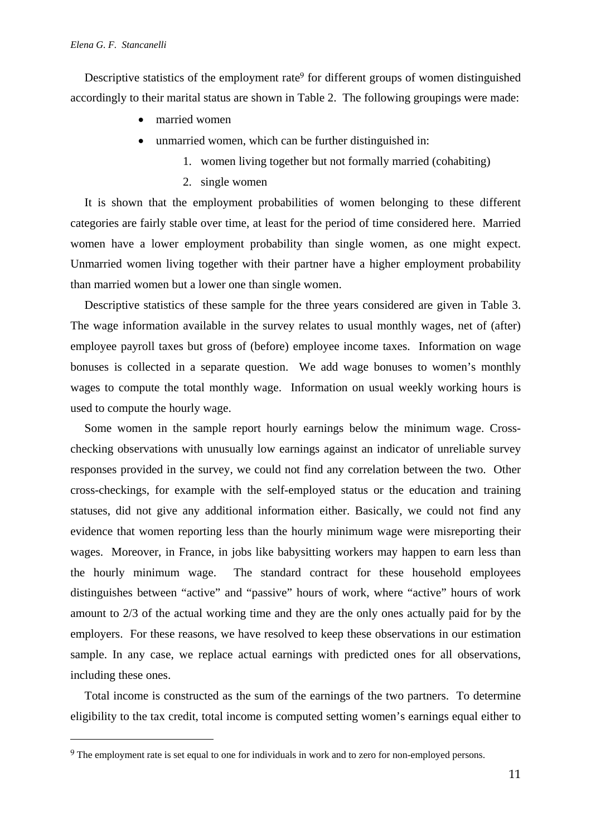$\overline{\phantom{a}}$ 

Descriptive statistics of the employment rate<sup>9</sup> for different groups of women distinguished accordingly to their marital status are shown in Table 2. The following groupings were made:

- married women
- unmarried women, which can be further distinguished in:
	- 1. women living together but not formally married (cohabiting)
	- 2. single women

It is shown that the employment probabilities of women belonging to these different categories are fairly stable over time, at least for the period of time considered here. Married women have a lower employment probability than single women, as one might expect. Unmarried women living together with their partner have a higher employment probability than married women but a lower one than single women.

Descriptive statistics of these sample for the three years considered are given in Table 3. The wage information available in the survey relates to usual monthly wages, net of (after) employee payroll taxes but gross of (before) employee income taxes. Information on wage bonuses is collected in a separate question. We add wage bonuses to women's monthly wages to compute the total monthly wage. Information on usual weekly working hours is used to compute the hourly wage.

Some women in the sample report hourly earnings below the minimum wage. Crosschecking observations with unusually low earnings against an indicator of unreliable survey responses provided in the survey, we could not find any correlation between the two. Other cross-checkings, for example with the self-employed status or the education and training statuses, did not give any additional information either. Basically, we could not find any evidence that women reporting less than the hourly minimum wage were misreporting their wages. Moreover, in France, in jobs like babysitting workers may happen to earn less than the hourly minimum wage. The standard contract for these household employees distinguishes between "active" and "passive" hours of work, where "active" hours of work amount to 2/3 of the actual working time and they are the only ones actually paid for by the employers. For these reasons, we have resolved to keep these observations in our estimation sample. In any case, we replace actual earnings with predicted ones for all observations, including these ones.

Total income is constructed as the sum of the earnings of the two partners. To determine eligibility to the tax credit, total income is computed setting women's earnings equal either to

<sup>9</sup> The employment rate is set equal to one for individuals in work and to zero for non-employed persons.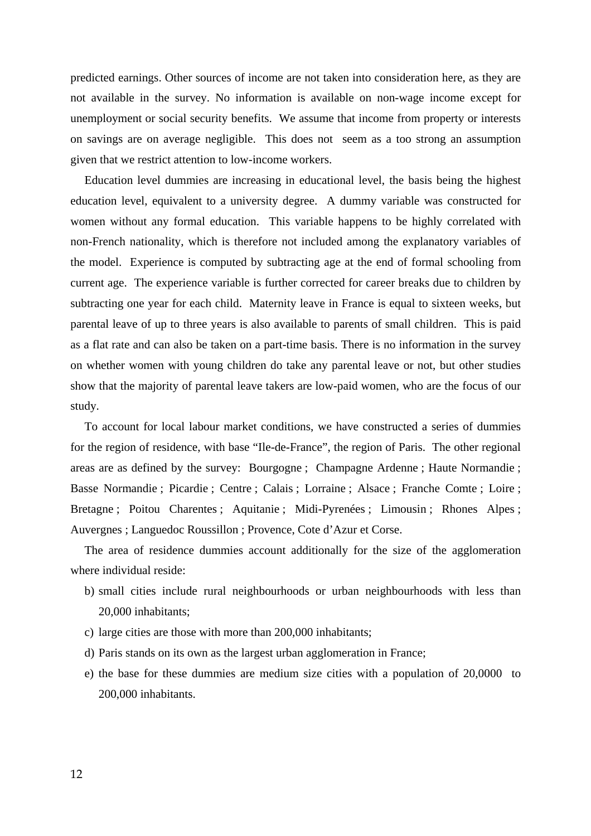predicted earnings. Other sources of income are not taken into consideration here, as they are not available in the survey. No information is available on non-wage income except for unemployment or social security benefits. We assume that income from property or interests on savings are on average negligible. This does not seem as a too strong an assumption given that we restrict attention to low-income workers.

Education level dummies are increasing in educational level, the basis being the highest education level, equivalent to a university degree. A dummy variable was constructed for women without any formal education. This variable happens to be highly correlated with non-French nationality, which is therefore not included among the explanatory variables of the model. Experience is computed by subtracting age at the end of formal schooling from current age. The experience variable is further corrected for career breaks due to children by subtracting one year for each child. Maternity leave in France is equal to sixteen weeks, but parental leave of up to three years is also available to parents of small children. This is paid as a flat rate and can also be taken on a part-time basis. There is no information in the survey on whether women with young children do take any parental leave or not, but other studies show that the majority of parental leave takers are low-paid women, who are the focus of our study.

To account for local labour market conditions, we have constructed a series of dummies for the region of residence, with base "Ile-de-France", the region of Paris. The other regional areas are as defined by the survey: Bourgogne ; Champagne Ardenne ; Haute Normandie ; Basse Normandie ; Picardie ; Centre ; Calais ; Lorraine ; Alsace ; Franche Comte ; Loire ; Bretagne ; Poitou Charentes ; Aquitanie ; Midi-Pyrenées ; Limousin ; Rhones Alpes ; Auvergnes ; Languedoc Roussillon ; Provence, Cote d'Azur et Corse.

The area of residence dummies account additionally for the size of the agglomeration where individual reside:

- b) small cities include rural neighbourhoods or urban neighbourhoods with less than 20,000 inhabitants;
- c) large cities are those with more than 200,000 inhabitants;
- d) Paris stands on its own as the largest urban agglomeration in France;
- e) the base for these dummies are medium size cities with a population of 20,0000 to 200,000 inhabitants.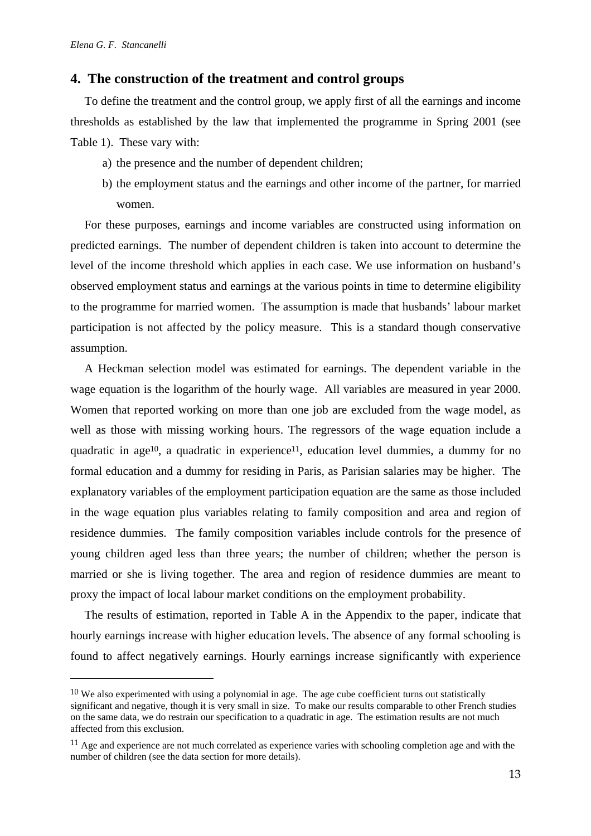$\overline{\phantom{a}}$ 

#### **4. The construction of the treatment and control groups**

To define the treatment and the control group, we apply first of all the earnings and income thresholds as established by the law that implemented the programme in Spring 2001 (see Table 1). These vary with:

- a) the presence and the number of dependent children;
- b) the employment status and the earnings and other income of the partner, for married women.

For these purposes, earnings and income variables are constructed using information on predicted earnings. The number of dependent children is taken into account to determine the level of the income threshold which applies in each case. We use information on husband's observed employment status and earnings at the various points in time to determine eligibility to the programme for married women. The assumption is made that husbands' labour market participation is not affected by the policy measure. This is a standard though conservative assumption.

A Heckman selection model was estimated for earnings. The dependent variable in the wage equation is the logarithm of the hourly wage. All variables are measured in year 2000. Women that reported working on more than one job are excluded from the wage model, as well as those with missing working hours. The regressors of the wage equation include a quadratic in age<sup>10</sup>, a quadratic in experience<sup>11</sup>, education level dummies, a dummy for no formal education and a dummy for residing in Paris, as Parisian salaries may be higher. The explanatory variables of the employment participation equation are the same as those included in the wage equation plus variables relating to family composition and area and region of residence dummies. The family composition variables include controls for the presence of young children aged less than three years; the number of children; whether the person is married or she is living together. The area and region of residence dummies are meant to proxy the impact of local labour market conditions on the employment probability.

The results of estimation, reported in Table A in the Appendix to the paper, indicate that hourly earnings increase with higher education levels. The absence of any formal schooling is found to affect negatively earnings. Hourly earnings increase significantly with experience

<sup>10</sup> We also experimented with using a polynomial in age. The age cube coefficient turns out statistically significant and negative, though it is very small in size. To make our results comparable to other French studies on the same data, we do restrain our specification to a quadratic in age. The estimation results are not much affected from this exclusion.

<sup>11</sup> Age and experience are not much correlated as experience varies with schooling completion age and with the number of children (see the data section for more details).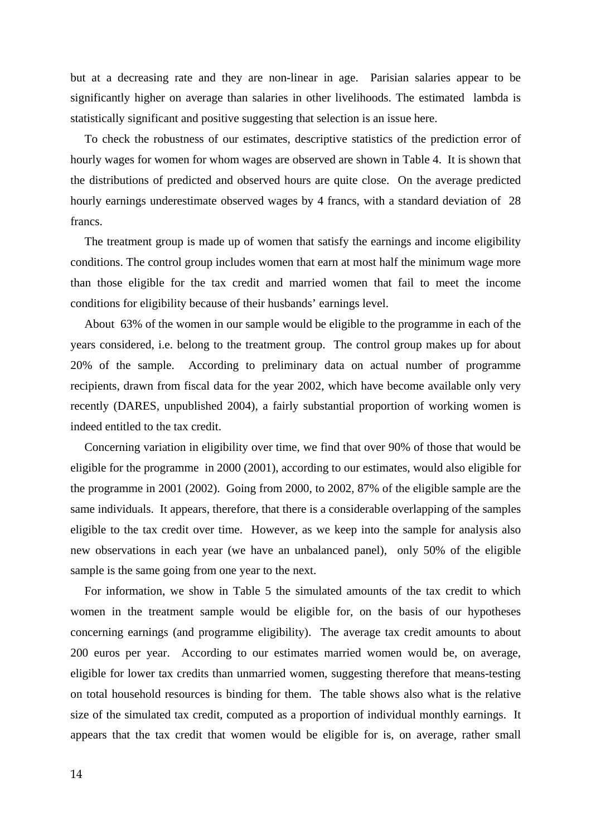but at a decreasing rate and they are non-linear in age. Parisian salaries appear to be significantly higher on average than salaries in other livelihoods. The estimated lambda is statistically significant and positive suggesting that selection is an issue here.

To check the robustness of our estimates, descriptive statistics of the prediction error of hourly wages for women for whom wages are observed are shown in Table 4. It is shown that the distributions of predicted and observed hours are quite close. On the average predicted hourly earnings underestimate observed wages by 4 francs, with a standard deviation of 28 francs.

The treatment group is made up of women that satisfy the earnings and income eligibility conditions. The control group includes women that earn at most half the minimum wage more than those eligible for the tax credit and married women that fail to meet the income conditions for eligibility because of their husbands' earnings level.

About 63% of the women in our sample would be eligible to the programme in each of the years considered, i.e. belong to the treatment group. The control group makes up for about 20% of the sample. According to preliminary data on actual number of programme recipients, drawn from fiscal data for the year 2002, which have become available only very recently (DARES, unpublished 2004), a fairly substantial proportion of working women is indeed entitled to the tax credit.

Concerning variation in eligibility over time, we find that over 90% of those that would be eligible for the programme in 2000 (2001), according to our estimates, would also eligible for the programme in 2001 (2002). Going from 2000, to 2002, 87% of the eligible sample are the same individuals. It appears, therefore, that there is a considerable overlapping of the samples eligible to the tax credit over time. However, as we keep into the sample for analysis also new observations in each year (we have an unbalanced panel), only 50% of the eligible sample is the same going from one year to the next.

For information, we show in Table 5 the simulated amounts of the tax credit to which women in the treatment sample would be eligible for, on the basis of our hypotheses concerning earnings (and programme eligibility). The average tax credit amounts to about 200 euros per year. According to our estimates married women would be, on average, eligible for lower tax credits than unmarried women, suggesting therefore that means-testing on total household resources is binding for them. The table shows also what is the relative size of the simulated tax credit, computed as a proportion of individual monthly earnings. It appears that the tax credit that women would be eligible for is, on average, rather small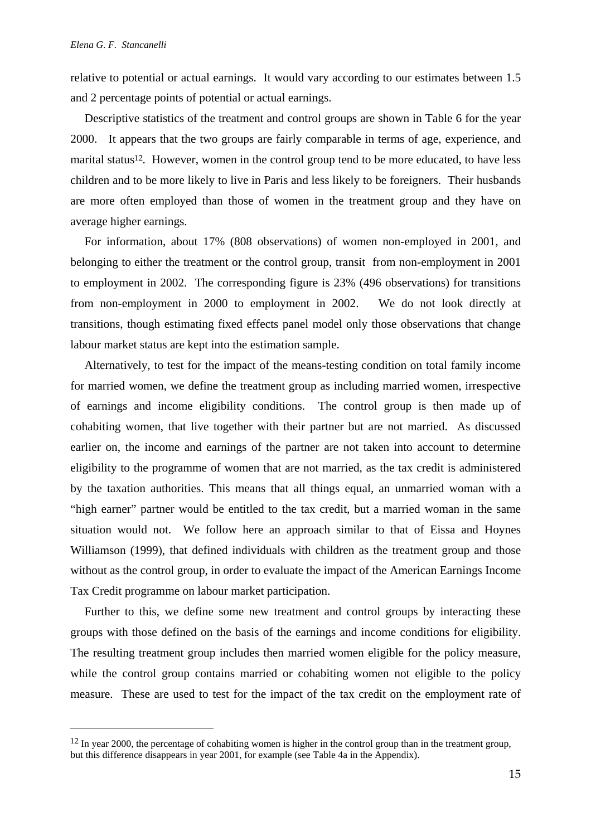$\overline{\phantom{a}}$ 

relative to potential or actual earnings. It would vary according to our estimates between 1.5 and 2 percentage points of potential or actual earnings.

Descriptive statistics of the treatment and control groups are shown in Table 6 for the year 2000. It appears that the two groups are fairly comparable in terms of age, experience, and marital status<sup>12</sup>. However, women in the control group tend to be more educated, to have less children and to be more likely to live in Paris and less likely to be foreigners. Their husbands are more often employed than those of women in the treatment group and they have on average higher earnings.

For information, about 17% (808 observations) of women non-employed in 2001, and belonging to either the treatment or the control group, transit from non-employment in 2001 to employment in 2002. The corresponding figure is 23% (496 observations) for transitions from non-employment in 2000 to employment in 2002. We do not look directly at transitions, though estimating fixed effects panel model only those observations that change labour market status are kept into the estimation sample.

Alternatively, to test for the impact of the means-testing condition on total family income for married women, we define the treatment group as including married women, irrespective of earnings and income eligibility conditions. The control group is then made up of cohabiting women, that live together with their partner but are not married. As discussed earlier on, the income and earnings of the partner are not taken into account to determine eligibility to the programme of women that are not married, as the tax credit is administered by the taxation authorities. This means that all things equal, an unmarried woman with a "high earner" partner would be entitled to the tax credit, but a married woman in the same situation would not. We follow here an approach similar to that of Eissa and Hoynes Williamson (1999), that defined individuals with children as the treatment group and those without as the control group, in order to evaluate the impact of the American Earnings Income Tax Credit programme on labour market participation.

Further to this, we define some new treatment and control groups by interacting these groups with those defined on the basis of the earnings and income conditions for eligibility. The resulting treatment group includes then married women eligible for the policy measure, while the control group contains married or cohabiting women not eligible to the policy measure. These are used to test for the impact of the tax credit on the employment rate of

<sup>&</sup>lt;sup>12</sup> In year 2000, the percentage of cohabiting women is higher in the control group than in the treatment group, but this difference disappears in year 2001, for example (see Table 4a in the Appendix).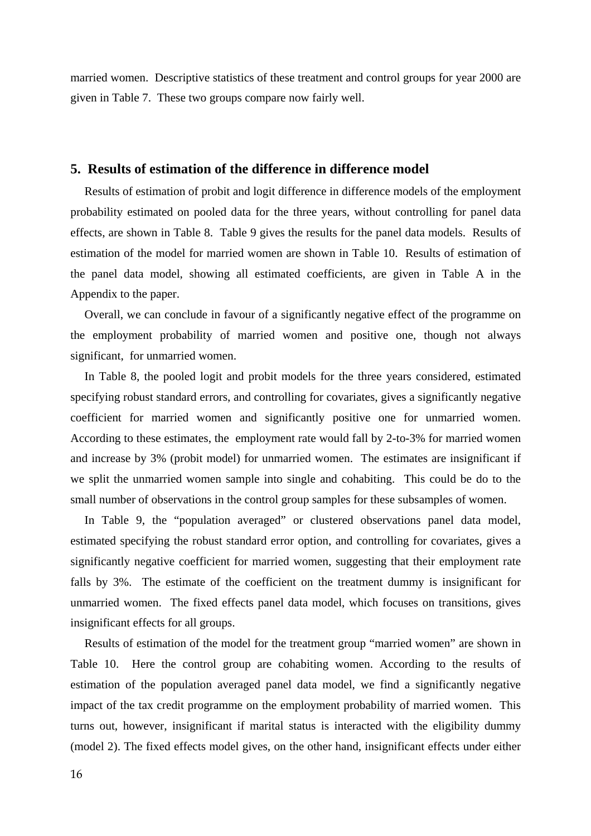married women. Descriptive statistics of these treatment and control groups for year 2000 are given in Table 7. These two groups compare now fairly well.

### **5. Results of estimation of the difference in difference model**

Results of estimation of probit and logit difference in difference models of the employment probability estimated on pooled data for the three years, without controlling for panel data effects, are shown in Table 8. Table 9 gives the results for the panel data models. Results of estimation of the model for married women are shown in Table 10. Results of estimation of the panel data model, showing all estimated coefficients, are given in Table A in the Appendix to the paper.

Overall, we can conclude in favour of a significantly negative effect of the programme on the employment probability of married women and positive one, though not always significant, for unmarried women.

In Table 8, the pooled logit and probit models for the three years considered, estimated specifying robust standard errors, and controlling for covariates, gives a significantly negative coefficient for married women and significantly positive one for unmarried women. According to these estimates, the employment rate would fall by 2-to-3% for married women and increase by 3% (probit model) for unmarried women. The estimates are insignificant if we split the unmarried women sample into single and cohabiting. This could be do to the small number of observations in the control group samples for these subsamples of women.

In Table 9, the "population averaged" or clustered observations panel data model, estimated specifying the robust standard error option, and controlling for covariates, gives a significantly negative coefficient for married women, suggesting that their employment rate falls by 3%. The estimate of the coefficient on the treatment dummy is insignificant for unmarried women. The fixed effects panel data model, which focuses on transitions, gives insignificant effects for all groups.

Results of estimation of the model for the treatment group "married women" are shown in Table 10. Here the control group are cohabiting women. According to the results of estimation of the population averaged panel data model, we find a significantly negative impact of the tax credit programme on the employment probability of married women. This turns out, however, insignificant if marital status is interacted with the eligibility dummy (model 2). The fixed effects model gives, on the other hand, insignificant effects under either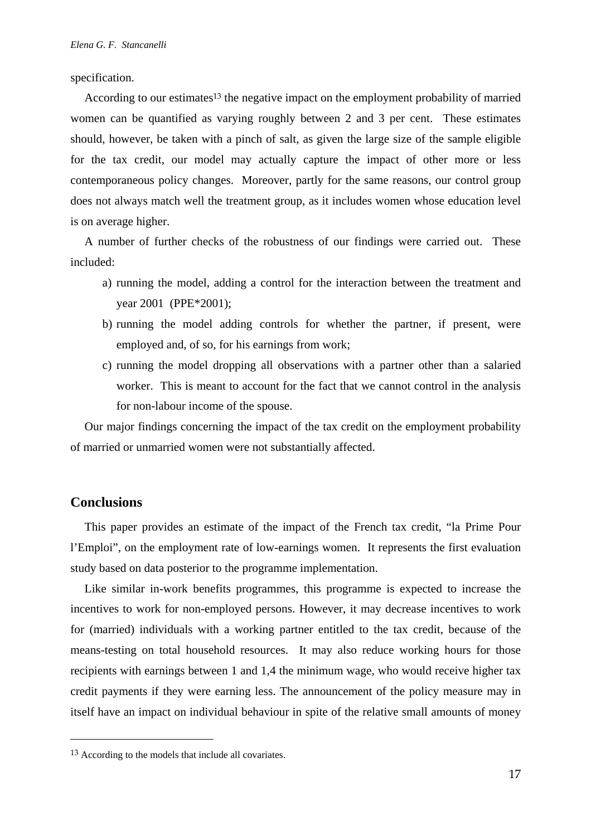specification.

According to our estimates<sup>13</sup> the negative impact on the employment probability of married women can be quantified as varying roughly between 2 and 3 per cent. These estimates should, however, be taken with a pinch of salt, as given the large size of the sample eligible for the tax credit, our model may actually capture the impact of other more or less contemporaneous policy changes. Moreover, partly for the same reasons, our control group does not always match well the treatment group, as it includes women whose education level is on average higher.

A number of further checks of the robustness of our findings were carried out. These included:

- a) running the model, adding a control for the interaction between the treatment and year 2001 (PPE\*2001);
- b) running the model adding controls for whether the partner, if present, were employed and, of so, for his earnings from work;
- c) running the model dropping all observations with a partner other than a salaried worker. This is meant to account for the fact that we cannot control in the analysis for non-labour income of the spouse.

Our major findings concerning the impact of the tax credit on the employment probability of married or unmarried women were not substantially affected.

#### **Conclusions**

 $\overline{\phantom{a}}$ 

This paper provides an estimate of the impact of the French tax credit, "la Prime Pour l'Emploi", on the employment rate of low-earnings women. It represents the first evaluation study based on data posterior to the programme implementation.

Like similar in-work benefits programmes, this programme is expected to increase the incentives to work for non-employed persons. However, it may decrease incentives to work for (married) individuals with a working partner entitled to the tax credit, because of the means-testing on total household resources. It may also reduce working hours for those recipients with earnings between 1 and 1,4 the minimum wage, who would receive higher tax credit payments if they were earning less. The announcement of the policy measure may in itself have an impact on individual behaviour in spite of the relative small amounts of money

<sup>13</sup> According to the models that include all covariates.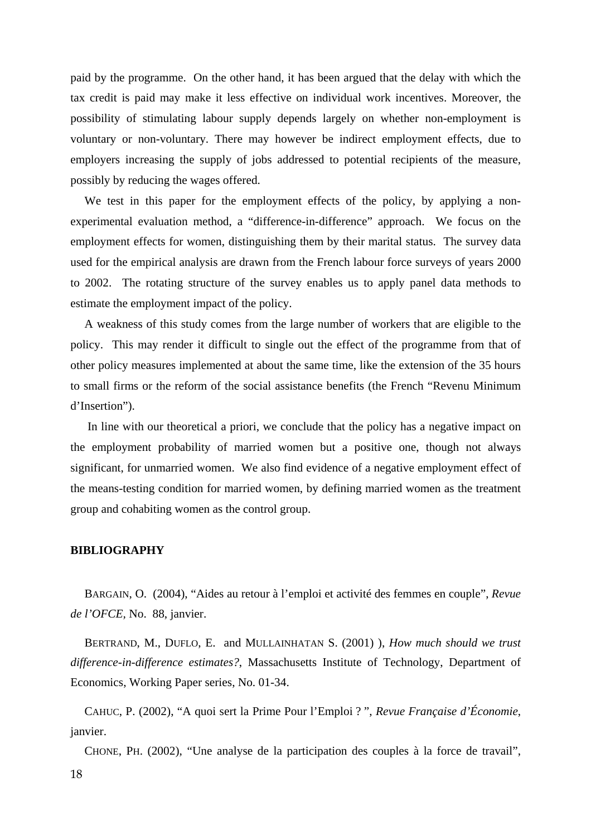paid by the programme. On the other hand, it has been argued that the delay with which the tax credit is paid may make it less effective on individual work incentives. Moreover, the possibility of stimulating labour supply depends largely on whether non-employment is voluntary or non-voluntary. There may however be indirect employment effects, due to employers increasing the supply of jobs addressed to potential recipients of the measure, possibly by reducing the wages offered.

We test in this paper for the employment effects of the policy, by applying a nonexperimental evaluation method, a "difference-in-difference" approach. We focus on the employment effects for women, distinguishing them by their marital status. The survey data used for the empirical analysis are drawn from the French labour force surveys of years 2000 to 2002. The rotating structure of the survey enables us to apply panel data methods to estimate the employment impact of the policy.

A weakness of this study comes from the large number of workers that are eligible to the policy. This may render it difficult to single out the effect of the programme from that of other policy measures implemented at about the same time, like the extension of the 35 hours to small firms or the reform of the social assistance benefits (the French "Revenu Minimum d'Insertion").

 In line with our theoretical a priori, we conclude that the policy has a negative impact on the employment probability of married women but a positive one, though not always significant, for unmarried women. We also find evidence of a negative employment effect of the means-testing condition for married women, by defining married women as the treatment group and cohabiting women as the control group.

#### **BIBLIOGRAPHY**

BARGAIN, O. (2004), "Aides au retour à l'emploi et activité des femmes en couple", *Revue de l'OFCE,* No. 88, janvier.

BERTRAND, M., DUFLO, E. and MULLAINHATAN S. (2001) ), *How much should we trust difference-in-difference estimates?*, Massachusetts Institute of Technology, Department of Economics, Working Paper series, No. 01-34.

CAHUC, P. (2002), "A quoi sert la Prime Pour l'Emploi ? ", *Revue Française d'Économie*, janvier.

CHONE, PH. (2002), "Une analyse de la participation des couples à la force de travail",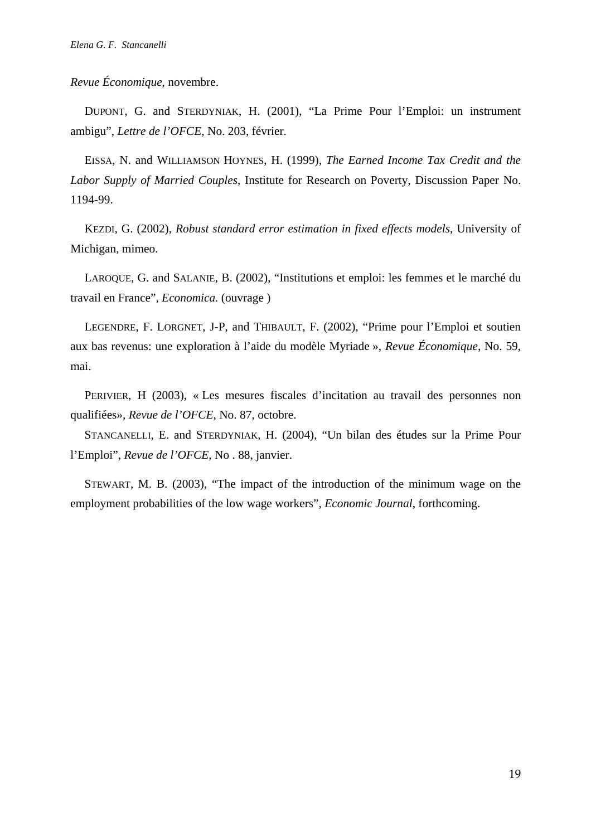*Revue Économique*, novembre.

DUPONT, G. and STERDYNIAK, H. (2001), "La Prime Pour l'Emploi: un instrument ambigu", *Lettre de l'OFCE,* No. 203, février.

EISSA, N. and WILLIAMSON HOYNES, H. (1999), *The Earned Income Tax Credit and the Labor Supply of Married Couples*, Institute for Research on Poverty, Discussion Paper No. 1194-99.

KEZDI, G. (2002), *Robust standard error estimation in fixed effects models*, University of Michigan, mimeo.

LAROQUE, G. and SALANIE, B. (2002), "Institutions et emploi: les femmes et le marché du travail en France", *Economica.* (ouvrage )

LEGENDRE, F. LORGNET, J-P, and THIBAULT, F. (2002), "Prime pour l'Emploi et soutien aux bas revenus: une exploration à l'aide du modèle Myriade », *Revue Économique*, No. 59, mai.

PERIVIER, H (2003), « Les mesures fiscales d'incitation au travail des personnes non qualifiées», *Revue de l'OFCE*, No. 87, octobre.

STANCANELLI, E. and STERDYNIAK, H. (2004), "Un bilan des études sur la Prime Pour l'Emploi", *Revue de l'OFCE*, No . 88, janvier.

STEWART, M. B. (2003), "The impact of the introduction of the minimum wage on the employment probabilities of the low wage workers", *Economic Journal*, forthcoming.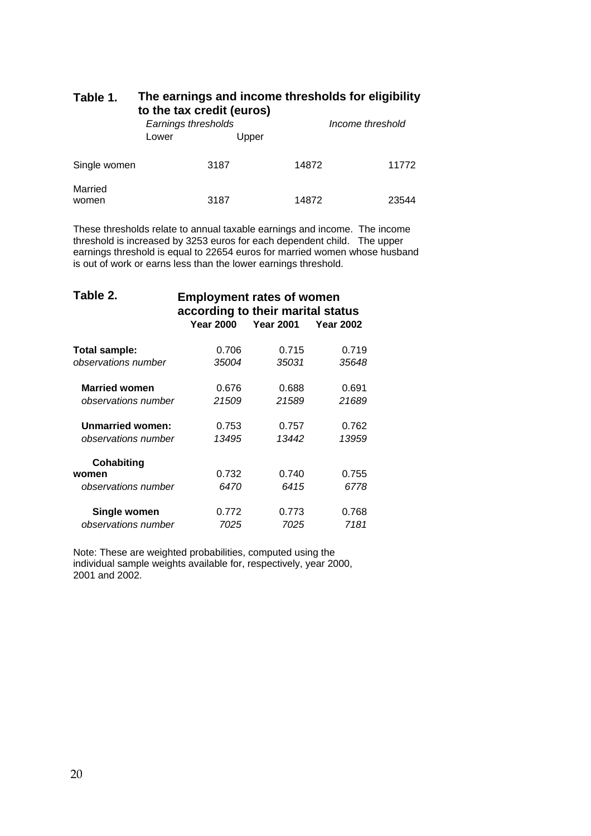| Table 1. | The earnings and income thresholds for eligibility |
|----------|----------------------------------------------------|
|          | to the tax credit (euros)                          |

|                  | Earnings thresholds<br>Upper<br>Lower |      | Income threshold |       |
|------------------|---------------------------------------|------|------------------|-------|
| Single women     |                                       | 3187 | 14872            | 11772 |
| Married<br>women |                                       | 3187 | 14872            | 23544 |

These thresholds relate to annual taxable earnings and income. The income threshold is increased by 3253 euros for each dependent child. The upper earnings threshold is equal to 22654 euros for married women whose husband is out of work or earns less than the lower earnings threshold.

| Table 2.                | <b>Employment rates of women</b><br>according to their marital status |                  |                  |  |  |  |
|-------------------------|-----------------------------------------------------------------------|------------------|------------------|--|--|--|
|                         | <b>Year 2000</b>                                                      | <b>Year 2001</b> | <b>Year 2002</b> |  |  |  |
| Total sample:           | 0.706                                                                 | 0.715            | 0.719            |  |  |  |
| observations number     | 35004                                                                 | 35031            | 35648            |  |  |  |
| <b>Married women</b>    | 0.676                                                                 | 0.688            | 0.691            |  |  |  |
| observations number     | 21509                                                                 | 21589            | 21689            |  |  |  |
| <b>Unmarried women:</b> | 0.753                                                                 | 0.757            | 0.762            |  |  |  |
| observations number     | 13495                                                                 | 13442            | 13959            |  |  |  |
| Cohabiting              |                                                                       |                  |                  |  |  |  |
| women                   | 0.732                                                                 | 0.740            | 0.755            |  |  |  |
| observations number     | 6470                                                                  | 6415             | 6778             |  |  |  |
| Single women            | 0.772                                                                 | 0.773            | 0.768            |  |  |  |
| observations number     | 7025                                                                  | 7025             | 7181             |  |  |  |

Note: These are weighted probabilities, computed using the individual sample weights available for, respectively, year 2000, 2001 and 2002.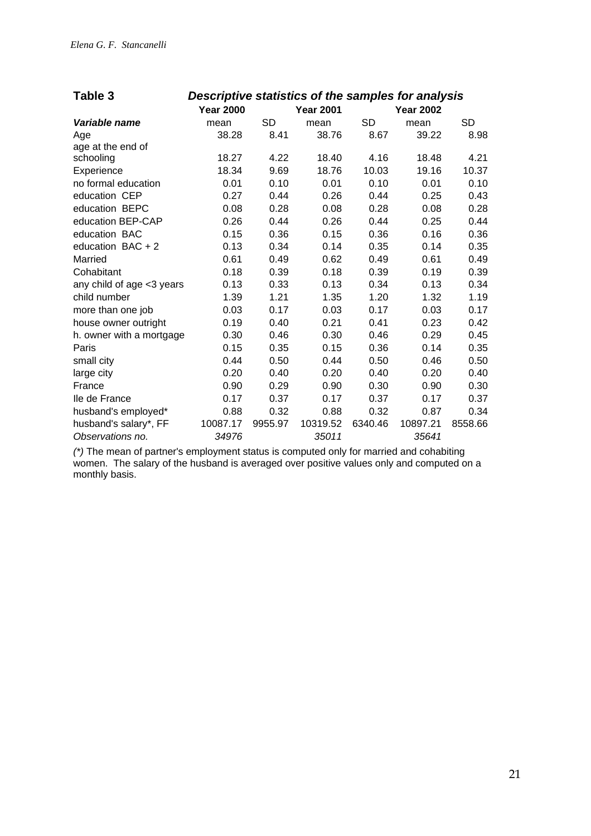| Table 3                   | Descriptive statistics of the samples for analysis |           |                  |           |                  |         |
|---------------------------|----------------------------------------------------|-----------|------------------|-----------|------------------|---------|
|                           | <b>Year 2000</b>                                   |           | <b>Year 2001</b> |           | <b>Year 2002</b> |         |
| Variable name             | mean                                               | <b>SD</b> | mean             | <b>SD</b> | mean             | SD      |
| Age                       | 38.28                                              | 8.41      | 38.76            | 8.67      | 39.22            | 8.98    |
| age at the end of         |                                                    |           |                  |           |                  |         |
| schooling                 | 18.27                                              | 4.22      | 18.40            | 4.16      | 18.48            | 4.21    |
| Experience                | 18.34                                              | 9.69      | 18.76            | 10.03     | 19.16            | 10.37   |
| no formal education       | 0.01                                               | 0.10      | 0.01             | 0.10      | 0.01             | 0.10    |
| education CEP             | 0.27                                               | 0.44      | 0.26             | 0.44      | 0.25             | 0.43    |
| education BEPC            | 0.08                                               | 0.28      | 0.08             | 0.28      | 0.08             | 0.28    |
| education BEP-CAP         | 0.26                                               | 0.44      | 0.26             | 0.44      | 0.25             | 0.44    |
| education BAC             | 0.15                                               | 0.36      | 0.15             | 0.36      | 0.16             | 0.36    |
| education $BAC + 2$       | 0.13                                               | 0.34      | 0.14             | 0.35      | 0.14             | 0.35    |
| Married                   | 0.61                                               | 0.49      | 0.62             | 0.49      | 0.61             | 0.49    |
| Cohabitant                | 0.18                                               | 0.39      | 0.18             | 0.39      | 0.19             | 0.39    |
| any child of age <3 years | 0.13                                               | 0.33      | 0.13             | 0.34      | 0.13             | 0.34    |
| child number              | 1.39                                               | 1.21      | 1.35             | 1.20      | 1.32             | 1.19    |
| more than one job         | 0.03                                               | 0.17      | 0.03             | 0.17      | 0.03             | 0.17    |
| house owner outright      | 0.19                                               | 0.40      | 0.21             | 0.41      | 0.23             | 0.42    |
| h. owner with a mortgage  | 0.30                                               | 0.46      | 0.30             | 0.46      | 0.29             | 0.45    |
| Paris                     | 0.15                                               | 0.35      | 0.15             | 0.36      | 0.14             | 0.35    |
| small city                | 0.44                                               | 0.50      | 0.44             | 0.50      | 0.46             | 0.50    |
| large city                | 0.20                                               | 0.40      | 0.20             | 0.40      | 0.20             | 0.40    |
| France                    | 0.90                                               | 0.29      | 0.90             | 0.30      | 0.90             | 0.30    |
| Ile de France             | 0.17                                               | 0.37      | 0.17             | 0.37      | 0.17             | 0.37    |
| husband's employed*       | 0.88                                               | 0.32      | 0.88             | 0.32      | 0.87             | 0.34    |
| husband's salary*, FF     | 10087.17                                           | 9955.97   | 10319.52         | 6340.46   | 10897.21         | 8558.66 |
| Observations no.          | 34976                                              |           | 35011            |           | 35641            |         |

*(\*)* The mean of partner's employment status is computed only for married and cohabiting women. The salary of the husband is averaged over positive values only and computed on a monthly basis.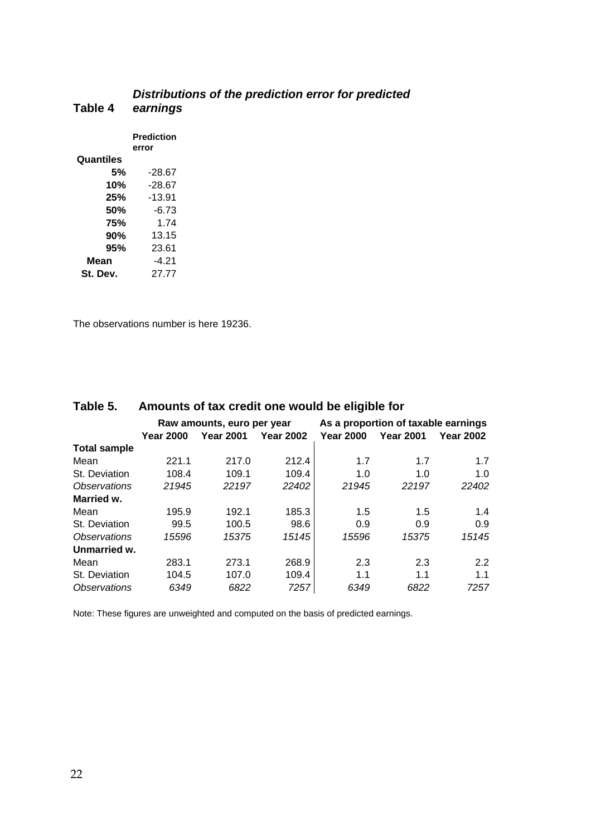#### **Table 4**  *Distributions of the prediction error for predicted earnings*  **Prediction error Quantiles 5%** -28.67

The observations number is here 19236.

**10%** -28.67 **25%** -13.91 **50%** -6.73 **75%** 1.74 **90%** 13.15 **95%** 23.61 **Mean** -4.21 **St. Dev.** 27.77

| Table 5.                   | Amounts of tax credit one would be eligible for |                            |                  |                                     |                  |                  |  |  |
|----------------------------|-------------------------------------------------|----------------------------|------------------|-------------------------------------|------------------|------------------|--|--|
|                            |                                                 | Raw amounts, euro per year |                  | As a proportion of taxable earnings |                  |                  |  |  |
|                            | <b>Year 2000</b>                                | <b>Year 2001</b>           | <b>Year 2002</b> | <b>Year 2000</b>                    | <b>Year 2001</b> | <b>Year 2002</b> |  |  |
| <b>Total sample</b>        |                                                 |                            |                  |                                     |                  |                  |  |  |
| Mean                       | 221.1                                           | 217.0                      | 212.4            | 1.7                                 | 1.7              | 1.7              |  |  |
| St. Deviation              | 108.4                                           | 109.1                      | 109.4            | 1.0                                 | 1.0              | 1.0              |  |  |
| <i><b>Observations</b></i> | 21945                                           | 22197                      | 22402            | 21945                               | 22197            | 22402            |  |  |
| Married w.                 |                                                 |                            |                  |                                     |                  |                  |  |  |
| Mean                       | 195.9                                           | 192.1                      | 185.3            | 1.5                                 | 1.5              | 1.4              |  |  |
| St. Deviation              | 99.5                                            | 100.5                      | 98.6             | 0.9                                 | 0.9              | 0.9              |  |  |
| <b>Observations</b>        | 15596                                           | 15375                      | 15145            | 15596                               | 15375            | 15145            |  |  |
| Unmarried w.               |                                                 |                            |                  |                                     |                  |                  |  |  |
| Mean                       | 283.1                                           | 273.1                      | 268.9            | 2.3                                 | 2.3              | 2.2              |  |  |
| St. Deviation              | 104.5                                           | 107.0                      | 109.4            | 1.1                                 | 1.1              | 1.1              |  |  |
| <i><b>Observations</b></i> | 6349                                            | 6822                       | 7257             | 6349                                | 6822             | 7257             |  |  |

#### **Table 5. Amounts of tax credit one would be eligible for**

Note: These figures are unweighted and computed on the basis of predicted earnings.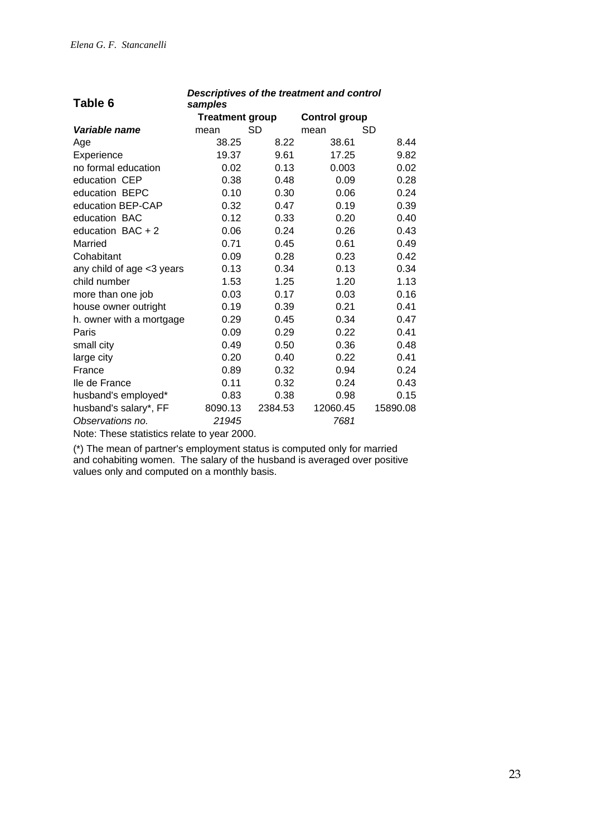| Table 6                                     | samples                |         |                      |          |
|---------------------------------------------|------------------------|---------|----------------------|----------|
|                                             | <b>Treatment group</b> |         | <b>Control group</b> |          |
| Variable name                               | mean                   | SD      | mean                 | SD       |
| Age                                         | 38.25                  | 8.22    | 38.61                | 8.44     |
| Experience                                  | 19.37                  | 9.61    | 17.25                | 9.82     |
| no formal education                         | 0.02                   | 0.13    | 0.003                | 0.02     |
| education CEP                               | 0.38                   | 0.48    | 0.09                 | 0.28     |
| education BEPC                              | 0.10                   | 0.30    | 0.06                 | 0.24     |
| education BEP-CAP                           | 0.32                   | 0.47    | 0.19                 | 0.39     |
| education BAC                               | 0.12                   | 0.33    | 0.20                 | 0.40     |
| education $BAC + 2$                         | 0.06                   | 0.24    | 0.26                 | 0.43     |
| Married                                     | 0.71                   | 0.45    | 0.61                 | 0.49     |
| Cohabitant                                  | 0.09                   | 0.28    | 0.23                 | 0.42     |
| any child of age <3 years                   | 0.13                   | 0.34    | 0.13                 | 0.34     |
| child number                                | 1.53                   | 1.25    | 1.20                 | 1.13     |
| more than one job                           | 0.03                   | 0.17    | 0.03                 | 0.16     |
| house owner outright                        | 0.19                   | 0.39    | 0.21                 | 0.41     |
| h. owner with a mortgage                    | 0.29                   | 0.45    | 0.34                 | 0.47     |
| Paris                                       | 0.09                   | 0.29    | 0.22                 | 0.41     |
| small city                                  | 0.49                   | 0.50    | 0.36                 | 0.48     |
| large city                                  | 0.20                   | 0.40    | 0.22                 | 0.41     |
| France                                      | 0.89                   | 0.32    | 0.94                 | 0.24     |
| lle de France                               | 0.11                   | 0.32    | 0.24                 | 0.43     |
| husband's employed*                         | 0.83                   | 0.38    | 0.98                 | 0.15     |
| husband's salary*, FF                       | 8090.13                | 2384.53 | 12060.45             | 15890.08 |
| Observations no.                            | 21945                  |         | 7681                 |          |
| Note: These statistics relate to year 2000. |                        |         |                      |          |

*Descriptives of the treatment and control* 

(\*) The mean of partner's employment status is computed only for married

and cohabiting women. The salary of the husband is averaged over positive values only and computed on a monthly basis.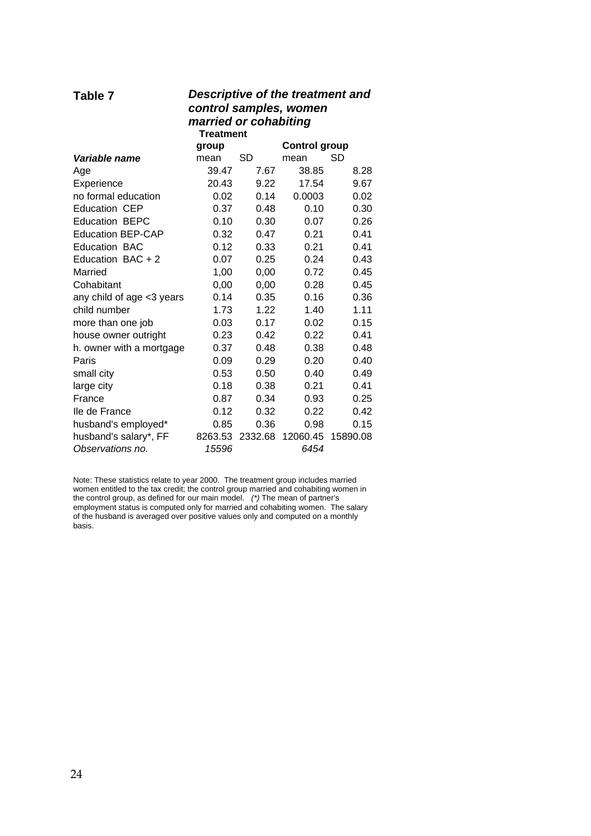| Descriptive of the treatment and<br>Table 7<br>control samples, women<br>married or cohabiting<br><b>Treatment</b> |         |         |                      |          |  |
|--------------------------------------------------------------------------------------------------------------------|---------|---------|----------------------|----------|--|
|                                                                                                                    | group   |         | <b>Control group</b> |          |  |
| Variable name                                                                                                      | mean    | SD      | mean                 | SD       |  |
| Age                                                                                                                | 39.47   | 7.67    | 38.85                | 8.28     |  |
| Experience                                                                                                         | 20.43   | 9.22    | 17.54                | 9.67     |  |
| no formal education                                                                                                | 0.02    | 0.14    | 0.0003               | 0.02     |  |
| <b>Education CEP</b>                                                                                               | 0.37    | 0.48    | 0.10                 | 0.30     |  |
| <b>Education BEPC</b>                                                                                              | 0.10    | 0.30    | 0.07                 | 0.26     |  |
| <b>Education BEP-CAP</b>                                                                                           | 0.32    | 0.47    | 0.21                 | 0.41     |  |
| <b>Education BAC</b>                                                                                               | 0.12    | 0.33    | 0.21                 | 0.41     |  |
| Education BAC $+2$                                                                                                 | 0.07    | 0.25    | 0.24                 | 0.43     |  |
| Married                                                                                                            | 1,00    | 0,00    | 0.72                 | 0.45     |  |
| Cohabitant                                                                                                         | 0,00    | 0,00    | 0.28                 | 0.45     |  |
| any child of age <3 years                                                                                          | 0.14    | 0.35    | 0.16                 | 0.36     |  |
| child number                                                                                                       | 1.73    | 1.22    | 1.40                 | 1.11     |  |
| more than one job                                                                                                  | 0.03    | 0.17    | 0.02                 | 0.15     |  |
| house owner outright                                                                                               | 0.23    | 0.42    | 0.22                 | 0.41     |  |
| h. owner with a mortgage                                                                                           | 0.37    | 0.48    | 0.38                 | 0.48     |  |
| Paris                                                                                                              | 0.09    | 0.29    | 0.20                 | 0.40     |  |
| small city                                                                                                         | 0.53    | 0.50    | 0.40                 | 0.49     |  |
| large city                                                                                                         | 0.18    | 0.38    | 0.21                 | 0.41     |  |
| France                                                                                                             | 0.87    | 0.34    | 0.93                 | 0.25     |  |
| lle de France                                                                                                      | 0.12    | 0.32    | 0.22                 | 0.42     |  |
| husband's employed*                                                                                                | 0.85    | 0.36    | 0.98                 | 0.15     |  |
| husband's salary*, FF                                                                                              | 8263.53 | 2332.68 | 12060.45             | 15890.08 |  |
| Observations no.                                                                                                   | 15596   |         | 6454                 |          |  |

Note: These statistics relate to year 2000. The treatment group includes married women entitled to the tax credit; the control group married and cohabiting women in the control group, as defined for our main model. *(\*)* The mean of partner's employment status is computed only for married and cohabiting women. The salary of the husband is averaged over positive values only and computed on a monthly basis.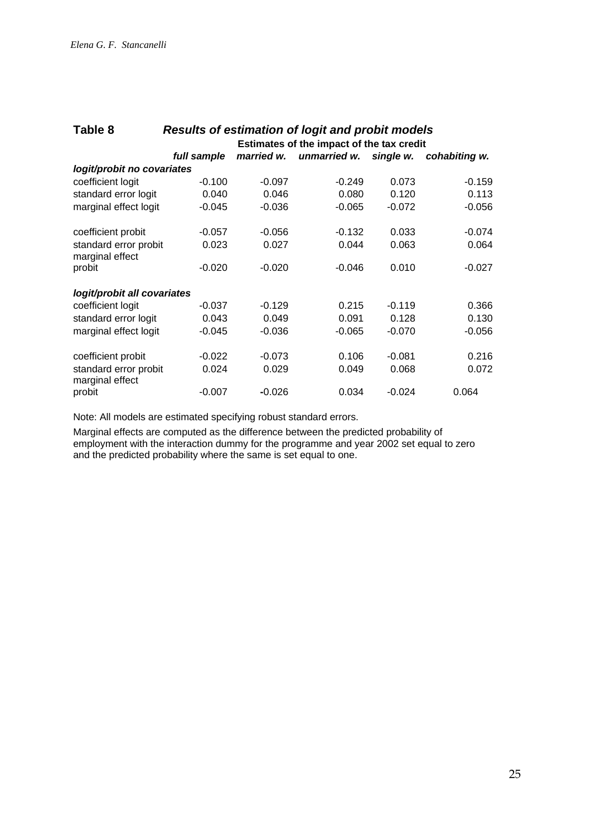| Table 8<br><b>Results of estimation of logit and probit models</b> |                                           |            |              |           |               |  |
|--------------------------------------------------------------------|-------------------------------------------|------------|--------------|-----------|---------------|--|
|                                                                    | Estimates of the impact of the tax credit |            |              |           |               |  |
|                                                                    | full sample                               | married w. | unmarried w. | single w. | cohabiting w. |  |
| logit/probit no covariates                                         |                                           |            |              |           |               |  |
| coefficient logit                                                  | $-0.100$                                  | $-0.097$   | $-0.249$     | 0.073     | $-0.159$      |  |
| standard error logit                                               | 0.040                                     | 0.046      | 0.080        | 0.120     | 0.113         |  |
| marginal effect logit                                              | $-0.045$                                  | $-0.036$   | $-0.065$     | $-0.072$  | $-0.056$      |  |
| coefficient probit                                                 | $-0.057$                                  | $-0.056$   | $-0.132$     | 0.033     | $-0.074$      |  |
| standard error probit<br>marginal effect                           | 0.023                                     | 0.027      | 0.044        | 0.063     | 0.064         |  |
| probit                                                             | $-0.020$                                  | $-0.020$   | $-0.046$     | 0.010     | $-0.027$      |  |
| logit/probit all covariates                                        |                                           |            |              |           |               |  |
| coefficient logit                                                  | $-0.037$                                  | $-0.129$   | 0.215        | $-0.119$  | 0.366         |  |
| standard error logit                                               | 0.043                                     | 0.049      | 0.091        | 0.128     | 0.130         |  |
| marginal effect logit                                              | $-0.045$                                  | $-0.036$   | $-0.065$     | $-0.070$  | $-0.056$      |  |
| coefficient probit                                                 | $-0.022$                                  | $-0.073$   | 0.106        | $-0.081$  | 0.216         |  |
| standard error probit<br>marginal effect                           | 0.024                                     | 0.029      | 0.049        | 0.068     | 0.072         |  |
| probit                                                             | $-0.007$                                  | $-0.026$   | 0.034        | $-0.024$  | 0.064         |  |

Note: All models are estimated specifying robust standard errors.

Marginal effects are computed as the difference between the predicted probability of employment with the interaction dummy for the programme and year 2002 set equal to zero and the predicted probability where the same is set equal to one.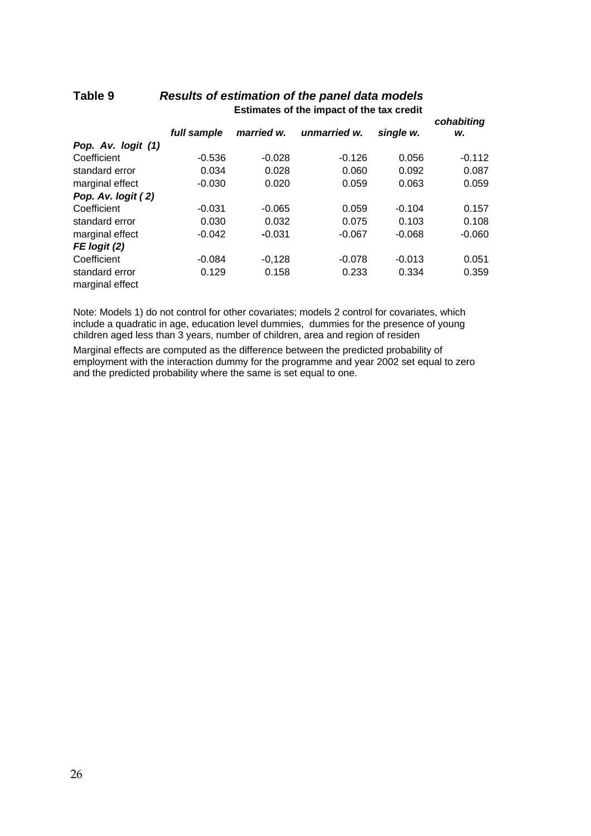|                                   |             |            |              |           | cohabiting |
|-----------------------------------|-------------|------------|--------------|-----------|------------|
|                                   | full sample | married w. | unmarried w. | single w. | w.         |
| Pop. Av. logit (1)                |             |            |              |           |            |
| Coefficient                       | $-0.536$    | $-0.028$   | $-0.126$     | 0.056     | $-0.112$   |
| standard error                    | 0.034       | 0.028      | 0.060        | 0.092     | 0.087      |
| marginal effect                   | $-0.030$    | 0.020      | 0.059        | 0.063     | 0.059      |
| Pop. Av. logit (2)                |             |            |              |           |            |
| Coefficient                       | $-0.031$    | $-0.065$   | 0.059        | $-0.104$  | 0.157      |
| standard error                    | 0.030       | 0.032      | 0.075        | 0.103     | 0.108      |
| marginal effect                   | $-0.042$    | $-0.031$   | $-0.067$     | $-0.068$  | $-0.060$   |
| $FE$ logit $(2)$                  |             |            |              |           |            |
| Coefficient                       | $-0.084$    | $-0.128$   | $-0.078$     | $-0.013$  | 0.051      |
| standard error<br>marginal effect | 0.129       | 0.158      | 0.233        | 0.334     | 0.359      |

## **Table 9** *Results of estimation of the panel data models*  **Estimates of the impact of the tax credit**

Note: Models 1) do not control for other covariates; models 2 control for covariates, which include a quadratic in age, education level dummies, dummies for the presence of young children aged less than 3 years, number of children, area and region of residen

Marginal effects are computed as the difference between the predicted probability of employment with the interaction dummy for the programme and year 2002 set equal to zero and the predicted probability where the same is set equal to one.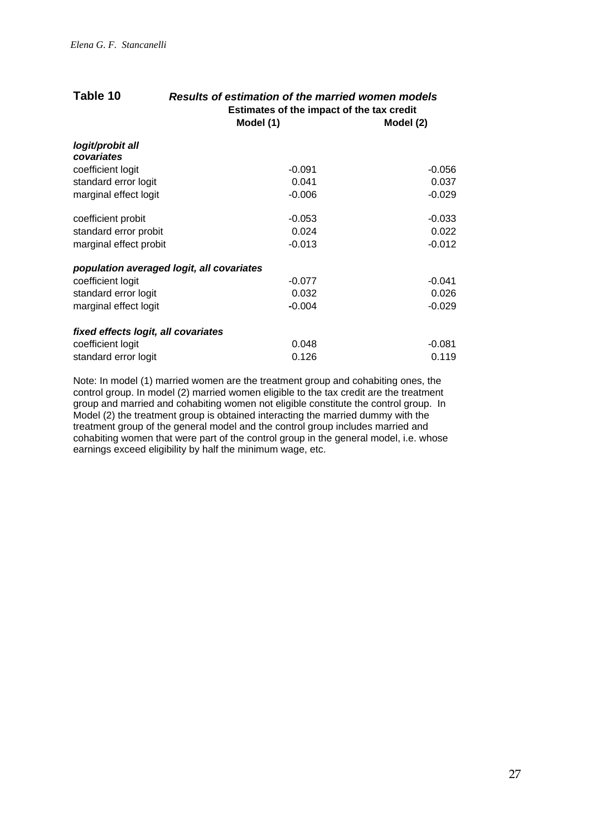| Table 10                            | Results of estimation of the married women models<br>Estimates of the impact of the tax credit |           |  |  |
|-------------------------------------|------------------------------------------------------------------------------------------------|-----------|--|--|
|                                     | Model (1)                                                                                      | Model (2) |  |  |
| logit/probit all                    |                                                                                                |           |  |  |
| covariates                          |                                                                                                |           |  |  |
| coefficient logit                   | $-0.091$                                                                                       | $-0.056$  |  |  |
| standard error logit                | 0.041                                                                                          | 0.037     |  |  |
| marginal effect logit               | $-0.006$                                                                                       | $-0.029$  |  |  |
| coefficient probit                  | $-0.053$                                                                                       | $-0.033$  |  |  |
| standard error probit               | 0.024                                                                                          | 0.022     |  |  |
| marginal effect probit              | $-0.013$                                                                                       | $-0.012$  |  |  |
|                                     | population averaged logit, all covariates                                                      |           |  |  |
| coefficient logit                   | $-0.077$                                                                                       | $-0.041$  |  |  |
| standard error logit                | 0.032                                                                                          | 0.026     |  |  |
| marginal effect logit               | $-0.004$                                                                                       | $-0.029$  |  |  |
| fixed effects logit, all covariates |                                                                                                |           |  |  |
| coefficient logit                   | 0.048                                                                                          | $-0.081$  |  |  |
| standard error logit                | 0.126                                                                                          | 0.119     |  |  |

Note: In model (1) married women are the treatment group and cohabiting ones, the control group. In model (2) married women eligible to the tax credit are the treatment group and married and cohabiting women not eligible constitute the control group. In Model (2) the treatment group is obtained interacting the married dummy with the treatment group of the general model and the control group includes married and cohabiting women that were part of the control group in the general model, i.e. whose earnings exceed eligibility by half the minimum wage, etc.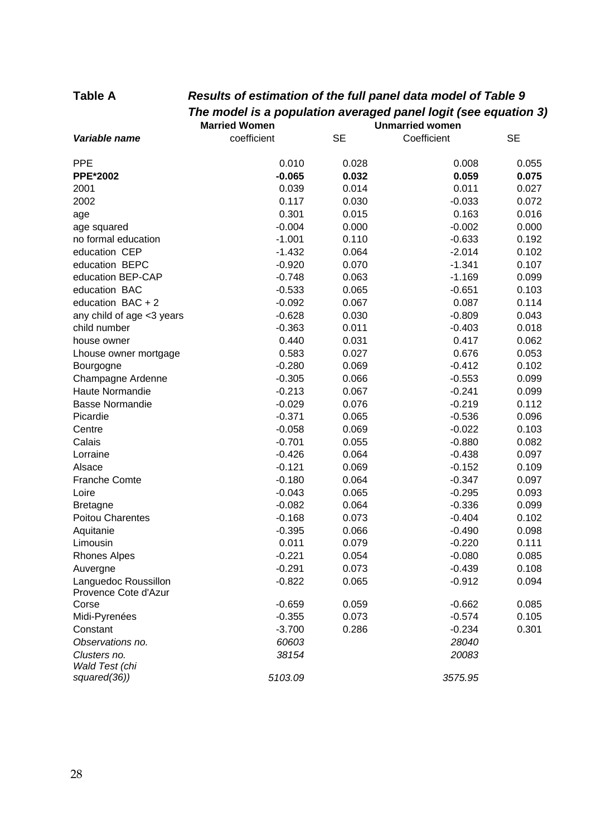# **Table A** *Results of estimation of the full panel data model of Table 9 The model is a population averaged panel logit (see equation 3)*

|                                              | <b>Married Women</b> |           | <b>Unmarried women</b> |           |
|----------------------------------------------|----------------------|-----------|------------------------|-----------|
| Variable name                                | coefficient          | <b>SE</b> | Coefficient            | <b>SE</b> |
| <b>PPE</b>                                   | 0.010                | 0.028     | 0.008                  | 0.055     |
| <b>PPE*2002</b>                              | $-0.065$             | 0.032     | 0.059                  | 0.075     |
| 2001                                         | 0.039                | 0.014     | 0.011                  | 0.027     |
| 2002                                         | 0.117                | 0.030     | $-0.033$               | 0.072     |
| age                                          | 0.301                | 0.015     | 0.163                  | 0.016     |
| age squared                                  | $-0.004$             | 0.000     | $-0.002$               | 0.000     |
| no formal education                          | $-1.001$             | 0.110     | $-0.633$               | 0.192     |
| education CEP                                | $-1.432$             | 0.064     | $-2.014$               | 0.102     |
| education BEPC                               | $-0.920$             | 0.070     | $-1.341$               | 0.107     |
| education BEP-CAP                            | $-0.748$             | 0.063     | $-1.169$               | 0.099     |
| education BAC                                | $-0.533$             | 0.065     | $-0.651$               | 0.103     |
| education $BAC + 2$                          | $-0.092$             | 0.067     | 0.087                  | 0.114     |
| any child of age <3 years                    | $-0.628$             | 0.030     | $-0.809$               | 0.043     |
| child number                                 | $-0.363$             | 0.011     | $-0.403$               | 0.018     |
| house owner                                  | 0.440                | 0.031     | 0.417                  | 0.062     |
| Lhouse owner mortgage                        | 0.583                | 0.027     | 0.676                  | 0.053     |
| Bourgogne                                    | $-0.280$             | 0.069     | $-0.412$               | 0.102     |
| Champagne Ardenne                            | $-0.305$             | 0.066     | $-0.553$               | 0.099     |
| Haute Normandie                              | $-0.213$             | 0.067     | $-0.241$               | 0.099     |
| <b>Basse Normandie</b>                       | $-0.029$             | 0.076     | $-0.219$               | 0.112     |
| Picardie                                     | $-0.371$             | 0.065     | $-0.536$               | 0.096     |
| Centre                                       | $-0.058$             | 0.069     | $-0.022$               | 0.103     |
| Calais                                       | $-0.701$             | 0.055     | $-0.880$               | 0.082     |
| Lorraine                                     | $-0.426$             | 0.064     | $-0.438$               | 0.097     |
| Alsace                                       | $-0.121$             | 0.069     | $-0.152$               | 0.109     |
| <b>Franche Comte</b>                         | $-0.180$             | 0.064     | $-0.347$               | 0.097     |
| Loire                                        | $-0.043$             | 0.065     | $-0.295$               | 0.093     |
| <b>Bretagne</b>                              | $-0.082$             | 0.064     | $-0.336$               | 0.099     |
| Poitou Charentes                             | $-0.168$             | 0.073     | $-0.404$               | 0.102     |
| Aquitanie                                    | $-0.395$             | 0.066     | $-0.490$               | 0.098     |
| Limousin                                     | 0.011                | 0.079     | $-0.220$               | 0.111     |
| <b>Rhones Alpes</b>                          | $-0.221$             | 0.054     | $-0.080$               | 0.085     |
| Auvergne                                     | $-0.291$             | 0.073     | $-0.439$               | 0.108     |
| Languedoc Roussillon<br>Provence Cote d'Azur | $-0.822$             | 0.065     | $-0.912$               | 0.094     |
| Corse                                        | $-0.659$             | 0.059     | $-0.662$               | 0.085     |
| Midi-Pyrenées                                | $-0.355$             | 0.073     | $-0.574$               | 0.105     |
| Constant                                     | $-3.700$             | 0.286     | $-0.234$               | 0.301     |
| Observations no.                             | 60603                |           | 28040                  |           |
| Clusters no.<br>Wald Test (chi               | 38154                |           | 20083                  |           |
| squared(36))                                 | 5103.09              |           | 3575.95                |           |